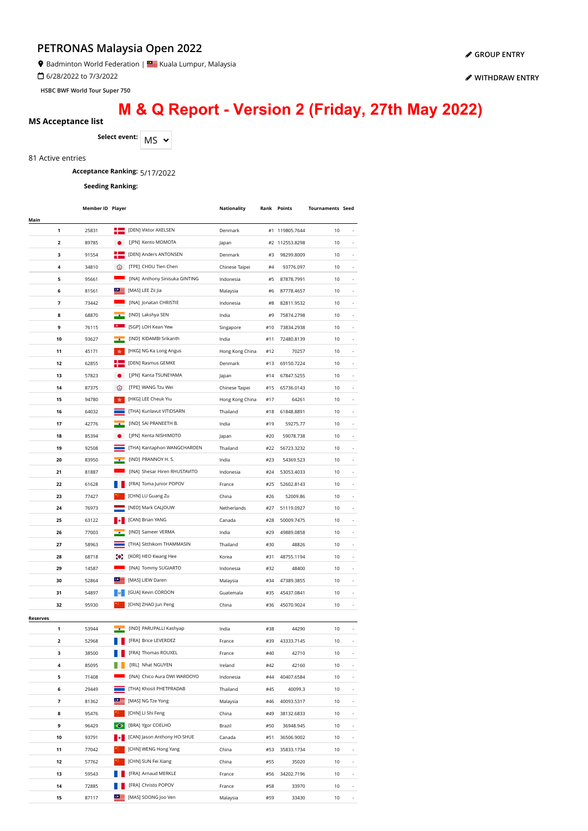Badminton World Federation | Kuala Lumpur, Malaysia

6/28/2022 to 7/3/2022

**HSBC BWF World Tour Super 750**

# **M & Q Report - Version 2 (Friday, 27th May 2022)**

### **MS Acceptance list**

Select event:  $\boxed{\mathsf{MS}}$   $\sim$ 

81 Active entries

# **Acceptance Ranking:** 5/17/2022

**Seeding Ranking:**

|                 | Member ID Player |                  |                                | Nationality     |     | Rank Points | <b>Tournaments Seed</b> |                          |
|-----------------|------------------|------------------|--------------------------------|-----------------|-----|-------------|-------------------------|--------------------------|
| Main            |                  |                  |                                |                 |     |             |                         |                          |
| 1               | 25831            |                  | [DEN] Viktor AXELSEN           | Denmark         | #1  | 119805.7644 | 10                      |                          |
| 2               | 89785            |                  | [JPN] Kento MOMOTA             | Japan           | #2  | 112553.8298 | 10                      |                          |
| 3               | 91554            |                  | [DEN] Anders ANTONSEN          | Denmark         | #3  | 98299.8009  | 10                      |                          |
| 4               | 34810            | ⊙                | [TPE] CHOU Tien Chen           | Chinese Taipei  | #4  | 93776.097   | 10                      | ÷,                       |
| 5               | 95661            |                  | [INA] Anthony Sinisuka GINTING | Indonesia       | #5  | 87878.7991  | 10                      | ÷,                       |
| 6               | 81561            | ≌≌               | [MAS] LEE Zii Jia              | Malaysia        | #6  | 87778.4657  | 10                      |                          |
| 7               | 73442            |                  | [INA] Jonatan CHRISTIE         | Indonesia       | #8  | 82811.9532  | 10                      |                          |
| 8               | 68870            |                  | [IND] Lakshya SEN              | India           | #9  | 75874.2798  | 10                      |                          |
| 9               | 76115            |                  | [SGP] LOH Kean Yew             | Singapore       | #10 | 73834.2938  | 10                      |                          |
| 10              | 93627            |                  | [IND] KIDAMBI Srikanth         | India           | #11 | 72480.8139  | 10                      |                          |
| 11              | 45171            | 青                | [HKG] NG Ka Long Angus         | Hong Kong China | #12 | 70257       | 10                      |                          |
| 12              | 62855            |                  | [DEN] Rasmus GEMKE             | Denmark         | #13 | 69150.7224  | 10                      |                          |
| 13              | 57823            |                  | [JPN] Kanta TSUNEYAMA          | Japan           | #14 | 67847.5255  | 10                      |                          |
| 14              | 87375            | ⊛                | [TPE] WANG Tzu Wei             | Chinese Taipei  | #15 | 65736.0143  | 10                      |                          |
| 15              | 94780            | 责                | [HKG] LEE Cheuk Yiu            | Hong Kong China | #17 | 64261       | 10                      |                          |
| 16              | 64032            |                  | [THA] Kunlavut VITIDSARN       | Thailand        | #18 | 61848.8891  | 10                      | $\overline{\phantom{a}}$ |
| 17              | 42776            |                  | [IND] SAI PRANEETH B.          | India           | #19 | 59275.77    | 10                      | $\overline{\phantom{a}}$ |
| 18              | 85394            |                  | [JPN] Kenta NISHIMOTO          | Japan           | #20 | 59078.738   | 10                      | $\overline{\phantom{a}}$ |
| 19              | 92508            |                  | [THA] Kantaphon WANGCHAROEN    | Thailand        | #22 | 56723.3232  | 10                      | ÷,                       |
| 20              | 83950            |                  | [IND] PRANNOY H. S.            | India           | #23 | 54369.523   | 10                      | i,                       |
| 21              | 81887            |                  | [INA] Shesar Hiren RHUSTAVITO  | Indonesia       | #24 | 53053.4033  | 10                      |                          |
| 22              | 61628            |                  | [FRA] Toma Junior POPOV        | France          | #25 | 52602.8143  | 10                      |                          |
| 23              | 77427            |                  | [CHN] LU Guang Zu              | China           | #26 | 52009.86    | 10                      |                          |
| 24              | 76973            |                  | [NED] Mark CALJOUW             | Netherlands     | #27 | 51119.0927  | 10                      |                          |
| 25              | 63122            |                  | [CAN] Brian YANG               | Canada          | #28 | 50009.7475  | 10                      |                          |
| 26              | 77003            |                  | [IND] Sameer VERMA             | India           | #29 | 49889.0858  | 10                      |                          |
| 27              | 58963            |                  | [THA] Sitthikom THAMMASIN      | Thailand        | #30 | 48826       | 10                      |                          |
| 28              | 68718            | $\bullet$        | [KOR] HEO Kwang Hee            | Korea           | #31 | 48755.1194  | 10                      |                          |
| 29              | 14587            |                  | [INA] Tommy SUGIARTO           | Indonesia       | #32 | 48400       | 10                      | $\overline{\phantom{a}}$ |
| 30              | 52864            | ⋐                | [MAS] LIEW Daren               | Malaysia        | #34 | 47389.3855  | 10                      | ÷,                       |
| 31              | 54897            |                  | [GUA] Kevin CORDON             | Guatemala       | #35 | 45437.0841  | 10                      | ÷,                       |
| 32              | 95930            |                  | [CHN] ZHAO Jun Peng            | China           | #36 | 45070.9024  | 10                      | ä,                       |
| <b>Reserves</b> |                  |                  |                                |                 |     |             |                         |                          |
| 1               | 53944            |                  | [IND] PARUPALLI Kashyap        | India           | #38 | 44290       | 10                      |                          |
| 2               | 52968            |                  | [FRA] Brice LEVERDEZ           | France          | #39 | 43333.7145  | 10                      |                          |
| з               | 38500            |                  | [FRA] Thomas ROUXEL            | France          | #40 | 42710       | 10                      |                          |
| 4               | 85095            |                  | [IRL] Nhat NGUYEN              | Ireland         | #42 | 42160       | 10                      |                          |
| 5               | 71408            |                  | [INA] Chico Aura DWI WARDOYO   | Indonesia       | #44 | 40407.6584  | 10                      |                          |
| 6               | 29449            |                  | [THA] Khosit PHETPRADAB        | Thailand        | #45 | 40099.3     | 10                      |                          |
| 7               | 81362            | ≌≌               | [MAS] NG Tze Yong              | Malaysia        | #46 | 40093.5317  | 10                      |                          |
| 8               | 95476            |                  | [CHN] LI Shi Feng              | China           | #49 | 38132.6833  | 10                      | ٠                        |
| 9               | 96429            | ◆                | [BRA] Ygor COELHO              | Brazil          | #50 | 36948.945   | 10                      | ٠                        |
| 10              | 93791            |                  | [CAN] Jason Anthony HO-SHUE    | Canada          | #51 | 36506.9002  | 10                      | $\overline{\phantom{a}}$ |
| 11              | 77042            |                  | [CHN] WENG Hong Yang           | China           | #53 | 35833.1734  | 10                      | $\overline{\phantom{a}}$ |
| 12              | 57762            |                  | [CHN] SUN Fei Xiang            | China           | #55 | 35020       | 10                      | $\overline{\phantom{a}}$ |
| 13              | 59543            |                  | [FRA] Arnaud MERKLE            | France          | #56 | 34202.7196  | 10                      |                          |
| 14              | 72885            |                  | [FRA] Christo POPOV            | France          | #58 | 33970       | 10                      |                          |
| 15              | 87117            | $\circ$ $\equiv$ | [MAS] SOONG Joo Ven            | Malaysia        | #59 | 33430       | 10                      |                          |

#### **[GROUP ENTRY](https://bwf.tournamentsoftware.com/individual-entry/54664723-055E-4136-8351-22359B769E39)**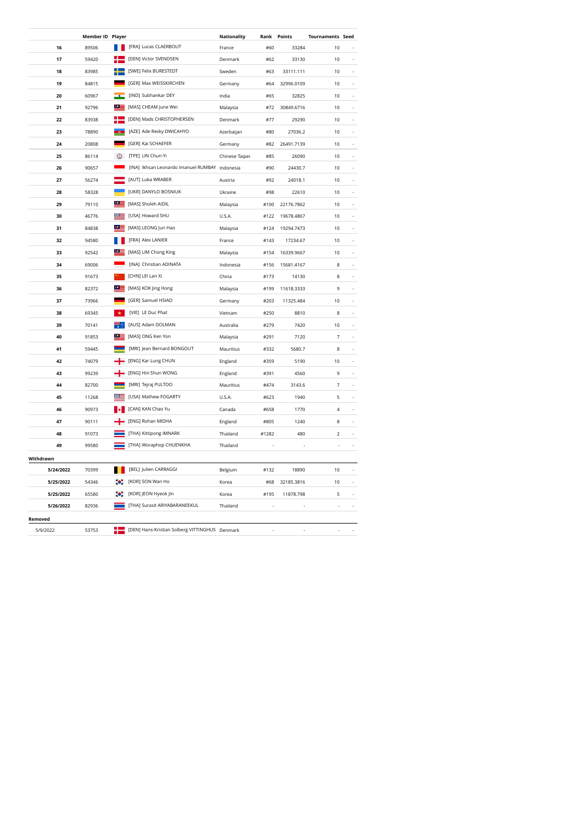|           | Member ID Player |                  |                                                | Nationality    | Rank  | Points     | <b>Tournaments Seed</b>  |                          |
|-----------|------------------|------------------|------------------------------------------------|----------------|-------|------------|--------------------------|--------------------------|
| 16        | 89506            |                  | [FRA] Lucas CLAERBOUT                          | France         | #60   | 33284      | 10                       |                          |
| 17        | 59420            |                  | [DEN] Victor SVENDSEN                          | Denmark        | #62   | 33130      | 10                       |                          |
| 18        | 83985            |                  | [SWE] Felix BURESTEDT                          | Sweden         | #63   | 33111.111  | 10                       |                          |
| 19        | 84815            |                  | [GER] Max WEISSKIRCHEN                         | Germany        | #64   | 32996.0109 | 10                       |                          |
| 20        | 60967            |                  | [IND] Subhankar DEY                            | India          | #65   | 32825      | 10                       | ä,                       |
| 21        | 92796            | $\bullet$ :      | [MAS] CHEAM June Wei                           | Malaysia       | #72   | 30849.6716 | 10                       |                          |
| 22        | 83938            |                  | [DEN] Mads CHRISTOPHERSEN                      | Denmark        | #77   | 29290      | 10                       | i,                       |
| 23        | 78890            |                  | [AZE] Ade Resky DWICAHYO                       | Azerbaijan     | #80   | 27036.2    | 10                       |                          |
| 24        | 20808            |                  | [GER] Kai SCHAEFER                             | Germany        | #82   | 26491.7139 | 10                       | ä,                       |
| 25        | 86114            | ⊚                | [TPE] LIN Chun-Yi                              | Chinese Taipei | #85   | 26090      | 10                       |                          |
| 26        | 90657            |                  | [INA] Ikhsan Leonardo Imanuel RUMBAY Indonesia |                | #90   | 24430.7    | 10                       | L.                       |
| 27        | 56274            |                  | [AUT] Luka WRABER                              | Austria        | #92   | 24018.1    | 10                       |                          |
| 28        | 58328            |                  | [UKR] DANYLO BOSNIUK                           | Ukraine        | #98   | 22610      | 10                       |                          |
| 29        | 79110            | $\bullet \equiv$ | [MAS] Sholeh AIDIL                             | Malaysia       | #100  | 22176.7862 | 10                       | ÷,                       |
| 30        | 46776            | <b>ISSE</b>      | [USA] Howard SHU                               | U.S.A.         | #122  | 19678.4867 | 10                       |                          |
| 31        | 84838            | $\bullet$        | [MAS] LEONG Jun Hao                            | Malaysia       | #124  | 19294.7473 | 10                       | ä,                       |
| 32        | 94580            |                  | [FRA] Alex LANIER                              | France         | #143  | 17234.67   | 10                       | L                        |
| 33        | 92542            |                  | [MAS] LIM Chong King                           | Malaysia       | #154  | 16339.9667 | 10                       |                          |
| 34        | 69006            |                  | [INA] Christian ADINATA                        | Indonesia      | #156  | 15681.4167 | 8                        |                          |
| 35        | 91673            |                  | [CHN] LEI Lan Xi                               | China          | #173  | 14130      | 8                        |                          |
| 36        | 82372            | œ                | [MAS] KOK Jing Hong                            | Malaysia       | #199  | 11618.3333 | 9                        |                          |
| 37        | 73966            |                  | [GER] Samuel HSIAO                             | Germany        | #203  | 11325.484  | 10                       |                          |
| 38        | 69345            |                  | [VIE] LE Duc Phat                              | Vietnam        | #250  | 8810       | 8                        | ÷,                       |
| 39        | 70141            |                  | [AUS] Adam DOLMAN                              | Australia      | #279  | 7420       | 10                       | L                        |
| 40        | 91853            |                  | [MAS] ONG Ken Yon                              | Malaysia       | #291  | 7120       | $\overline{7}$           | L                        |
| 41        | 59445            |                  | [MRI] Jean Bernard BONGOUT                     | Mauritius      | #332  | 5680.7     | 8                        |                          |
| 42        | 74079            |                  | [ENG] Kar Lung CHUN                            | England        | #359  | 5190       | 10                       | ä,                       |
| 43        | 99239            |                  | [ENG] Hin Shun WONG                            | England        | #391  | 4560       | 9                        |                          |
| 44        | 82700            |                  | [MRI] Tejraj PULTOO                            | Mauritius      | #474  | 3143.6     | 7                        |                          |
| 45        | 11268            |                  | [USA] Mathew FOGARTY                           | U.S.A.         | #623  | 1940       | 5                        | i,                       |
| 46        | 90973            |                  | [CAN] KAN Chao Yu                              | Canada         | #658  | 1770       | 4                        |                          |
| 47        | 90111            |                  | [ENG] Rohan MIDHA                              | England        | #805  | 1240       | 8                        | $\overline{\phantom{a}}$ |
| 48        | 91073            |                  | [THA] Kittipong IMNARK                         | Thailand       | #1282 | 480        | $\overline{2}$           | ÷,                       |
| 49        | 99580            |                  | [THA] Woraphop CHUENKHA                        | Thailand       |       |            | ä,                       |                          |
| Withdrawn |                  |                  |                                                |                |       |            |                          |                          |
| 5/24/2022 | 70399            |                  | [BEL] Julien CARRAGGI                          | Belgium        | #132  | 18890      | 10                       | ä,                       |
| 5/25/2022 | 54346            |                  | [KOR] SON Wan Ho                               | Korea          | #68   | 32185.3816 | 10                       |                          |
| 5/25/2022 | 65580            | $\bullet$        | [KOR] JEON Hyeok Jin                           | Korea          | #195  | 11878.798  | 5                        |                          |
| 5/26/2022 | 82936            |                  | [THA] Surasit ARIYABARANEEKUL                  | Thailand       |       |            | $\overline{\phantom{a}}$ | ä,                       |
| Removed   |                  |                  |                                                |                |       |            |                          |                          |
| 5/9/2022  | 53753            |                  | [DEN] Hans-Kristian Solberg VITTINGHUS Denmark |                |       |            |                          |                          |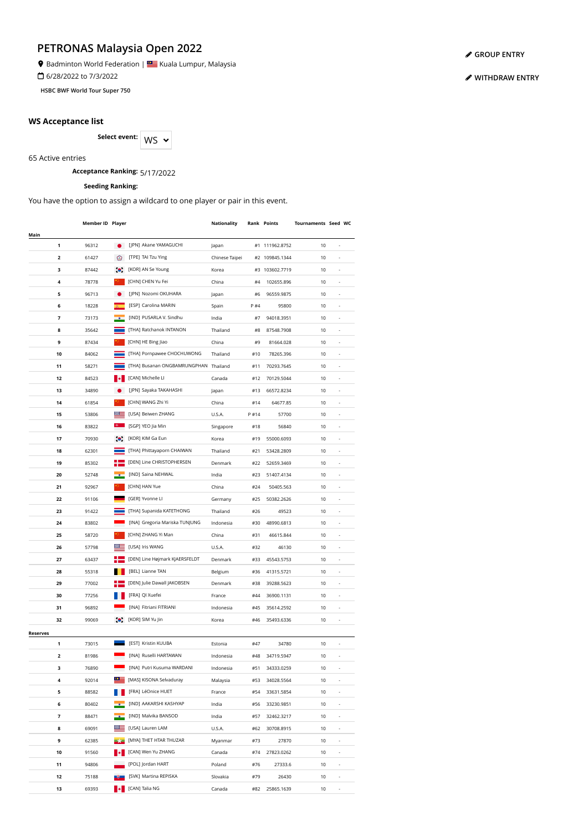Badminton World Federation | **SALLA BEAD** Kuala Lumpur, Malaysia

6/28/2022 to 7/3/2022

**HSBC BWF World Tour Super 750**

## **WS Acceptance list**

Select event: WS  $\sim$ 

65 Active entries

**Acceptance Ranking:** 5/17/2022

### **Seeding Ranking:**

You have the option to assign a wildcard to one player or pair in this event.

|                 | Member ID Player |             |                                       | Nationality    |       | <b>Rank Points</b> | Tournaments Seed WC |                          |  |
|-----------------|------------------|-------------|---------------------------------------|----------------|-------|--------------------|---------------------|--------------------------|--|
| Main            |                  |             |                                       |                |       |                    |                     |                          |  |
|                 | 1<br>96312       | $\bullet$   | [JPN] Akane YAMAGUCHI                 | Japan          |       | #1 111962.8752     | 10                  | ä,                       |  |
|                 | 2<br>61427       | ⊛           | [TPE] TAI Tzu Ying                    | Chinese Taipei |       | #2 109845.1344     | 10                  |                          |  |
|                 | з<br>87442       | $\bullet$   | [KOR] AN Se Young                     | Korea          |       | #3 103602.7719     | 10                  |                          |  |
|                 | 4<br>78778       |             | [CHN] CHEN Yu Fei                     | China          | #4    | 102655.896         | 10                  |                          |  |
|                 | 5<br>96713       |             | [JPN] Nozomi OKUHARA                  | Japan          | #6    | 96559.9875         | 10                  | $\overline{\phantom{a}}$ |  |
|                 | 6<br>18228       |             | [ESP] Carolina MARIN                  | Spain          | P #4  | 95800              | 10                  | $\overline{\phantom{a}}$ |  |
|                 | 7<br>73173       |             | [IND] PUSARLA V. Sindhu               | India          | #7    | 94018.3951         | 10                  | ÷,                       |  |
|                 | 8<br>35642       |             | [THA] Ratchanok INTANON               | Thailand       | #8    | 87548.7908         | 10                  | ÷,                       |  |
|                 | 9<br>87434       |             | [CHN] HE Bing Jiao                    | China          | #9    | 81664.028          | 10                  | ×,                       |  |
|                 | 10<br>84062      |             | [THA] Pornpawee CHOCHUWONG            | Thailand       | #10   | 78265.396          | 10                  |                          |  |
|                 | 11<br>58271      |             | [THA] Busanan ONGBAMRUNGPHAN Thailand |                | #11   | 70293.7645         | 10                  |                          |  |
|                 | 12<br>84523      |             | [CAN] Michelle LI                     | Canada         | #12   | 70129.5044         | 10                  |                          |  |
|                 | 34890            |             | [JPN] Sayaka TAKAHASHI                |                | #13   |                    |                     | ä,                       |  |
|                 | 13               |             |                                       | Japan          |       | 66572.8234         | 10                  |                          |  |
|                 | 14<br>61854      |             | [CHN] WANG Zhi Yi                     | China          | #14   | 64677.85           | 10                  |                          |  |
|                 | 15<br>53806      |             | [USA] Beiwen ZHANG                    | U.S.A.         | P #14 | 57700              | 10                  |                          |  |
|                 | 83822<br>16      |             | [SGP] YEO Jia Min                     | Singapore      | #18   | 56840              | 10                  |                          |  |
|                 | 17<br>70930      | $\bullet$ . | [KOR] KIM Ga Eun                      | Korea          | #19   | 55000.6093         | 10                  | ٠                        |  |
|                 | 18<br>62301      |             | [THA] Phittayaporn CHAIWAN            | Thailand       | #21   | 53428.2809         | 10                  | $\overline{a}$           |  |
|                 | 19<br>85302      |             | [DEN] Line CHRISTOPHERSEN             | Denmark        | #22   | 52659.3469         | 10                  | $\overline{a}$           |  |
|                 | 20<br>52748      |             | [IND] Saina NEHWAL                    | India          | #23   | 51407.4134         | 10                  | ÷,                       |  |
|                 | 92967<br>21      |             | [CHN] HAN Yue                         | China          | #24   | 50405.563          | 10                  | ÷,                       |  |
|                 | 22<br>91106      |             | [GER] Yvonne Ll                       | Germany        | #25   | 50382.2626         | 10                  | ÷,                       |  |
|                 | 23<br>91422      |             | [THA] Supanida KATETHONG              | Thailand       | #26   | 49523              | 10                  |                          |  |
|                 | 24<br>83802      |             | [INA] Gregoria Mariska TUNJUNG        | Indonesia      | #30   | 48990.6813         | 10                  |                          |  |
|                 | 25<br>58720      |             | [CHN] ZHANG Yi Man                    | China          | #31   | 46615.844          | 10                  |                          |  |
|                 | 26<br>57798      |             | [USA] Iris WANG                       | U.S.A.         | #32   | 46130              | 10                  |                          |  |
|                 | 27<br>63437      |             | [DEN] Line Højmark KJAERSFELDT        | Denmark        | #33   | 45543.5753         | 10                  |                          |  |
|                 | 28<br>55318      |             | [BEL] Lianne TAN                      | Belgium        | #36   | 41315.5721         | 10                  |                          |  |
|                 | 29<br>77002      |             | [DEN] Julie Dawall JAKOBSEN           | Denmark        | #38   | 39288.5623         | 10                  |                          |  |
|                 | 30<br>77256      |             | [FRA] QI Xuefei                       | France         | #44   | 36900.1131         | 10                  |                          |  |
|                 | 31<br>96892      |             | [INA] Fitriani FITRIANI               | Indonesia      | #45   | 35614.2592         | 10                  |                          |  |
|                 | 32<br>99069      | $\bullet$ . | [KOR] SIM Yu Jin                      | Korea          | #46   | 35493.6336         | 10                  | $\overline{a}$           |  |
| <b>Reserves</b> |                  |             |                                       |                |       |                    |                     |                          |  |
|                 | 1<br>73015       |             | [EST] Kristin KUUBA                   | Estonia        | #47   | 34780              | 10                  |                          |  |
|                 | 2<br>81986       |             | [INA] Ruselli HARTAWAN                | Indonesia      | #48   | 34719.5947         | 10                  |                          |  |
|                 | 3<br>76890       |             | [INA] Putri Kusuma WARDANI            | Indonesia      | #51   | 34333.0259         | 10                  |                          |  |
|                 | 4<br>92014       | $\circ$ :   | [MAS] KISONA Selvaduray               | Malaysia       |       | 34028.5564         | 10                  |                          |  |
|                 |                  |             |                                       |                | #53   |                    |                     |                          |  |
|                 | 5<br>88582       |             | [FRA] LéOnice HUET                    | France         | #54   | 33631.5854         | 10                  |                          |  |
|                 | 6<br>80402       |             | [IND] AAKARSHI KASHYAP                | India          | #56   | 33230.9851         | 10                  | ÷,                       |  |
|                 | 7<br>88471       |             | [IND] Malvika BANSOD                  | India          | #57   | 32462.3217         | 10                  | ÷,                       |  |
|                 | 8<br>69091       |             | [USA] Lauren LAM                      | U.S.A.         | #62   | 30708.8915         | 10                  |                          |  |
|                 | 9<br>62385       |             | [MYA] THET HTAR THUZAR                | Myanmar        | #73   | 27870              | 10                  | ٠                        |  |
|                 | 10<br>91560      |             | [CAN] Wen Yu ZHANG                    | Canada         | #74   | 27823.0262         | 10                  | ٠                        |  |
|                 | 11<br>94806      |             | [POL] Jordan HART                     | Poland         | #76   | 27333.6            | 10                  | $\overline{a}$           |  |
|                 | 12<br>75188      |             | [SVK] Martina REPISKA                 | Slovakia       | #79   | 26430              | 10                  | $\overline{\phantom{a}}$ |  |
|                 | 13<br>69393      | ы           | [CAN] Talia NG                        | Canada         | #82   | 25865.1639         | 10                  |                          |  |

**[GROUP ENTRY](https://bwf.tournamentsoftware.com/individual-entry/54664723-055E-4136-8351-22359B769E39)**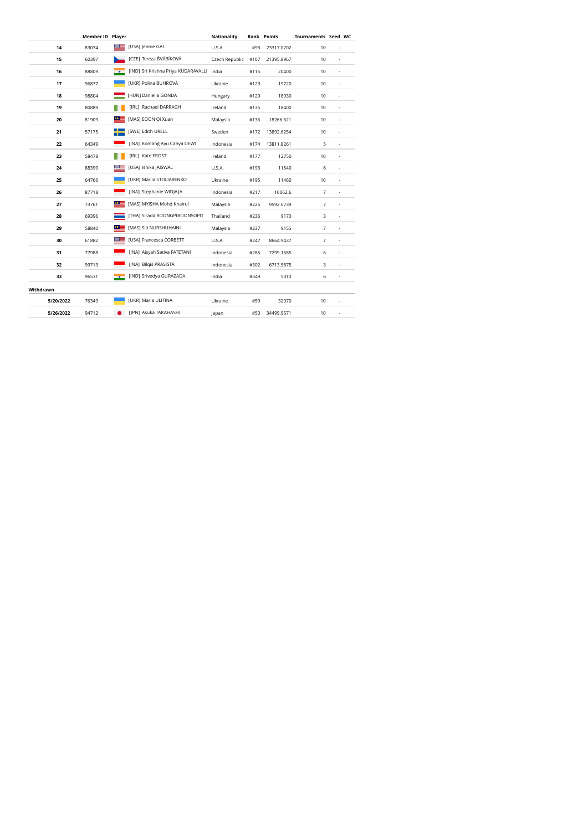|                    | Member ID Player |                                     | <b>Nationality</b> |      | <b>Rank Points</b> | Tournaments Seed WC |                          |  |
|--------------------|------------------|-------------------------------------|--------------------|------|--------------------|---------------------|--------------------------|--|
| 14<br>83074        |                  | [USA] Jennie GAI                    | U.S.A.             | #93  | 23317.0202         | 10                  |                          |  |
| 15<br>60397        |                  | [CZE] Tereza ŠVÁBÍKOVÁ              | Czech Republic     | #107 | 21395.8967         | 10                  | ٠                        |  |
| 16<br>88809        | $-6$             | [IND] Sri Krishna Priya KUDARAVALLI | India              | #115 | 20400              | 10                  | ٠                        |  |
| 17<br>96877        |                  | [UKR] Polina BUHROVA                | Ukraine            | #123 | 19720              | 10                  | $\overline{\phantom{a}}$ |  |
| 18<br>98804        |                  | [HUN] Daniella GONDA                | Hungary            | #129 | 18930              | 10                  | ÷,                       |  |
| 19<br>80889        |                  | [IRL] Rachael DARRAGH               | Ireland            | #135 | 18400              | 10                  | ä,                       |  |
| 20<br>81909        | $\circ$ $\equiv$ | [MAS] EOON Qi Xuan                  | Malaysia           | #136 | 18266.621          | 10                  |                          |  |
| 21<br>57175        |                  | [SWE] Edith URELL                   | Sweden             | #172 | 13892.6254         | 10                  | ÷,                       |  |
| 22<br>64349        |                  | [INA] Komang Ayu Cahya DEWI         | Indonesia          | #174 | 13811.8261         | 5                   | ÷,                       |  |
| 23<br>58478        |                  | [IRL] Kate FROST                    | Ireland            | #177 | 12750              | 10                  | ٠                        |  |
| 88399<br>24        |                  | [USA] Ishika JAISWAL                | U.S.A.             | #193 | 11540              | 6                   | ٠                        |  |
| 25<br>64766        |                  | [UKR] Mariia STOLIARENKO            | Ukraine            | #195 | 11460              | 10                  | $\overline{\phantom{a}}$ |  |
| 26<br>87718        |                  | [INA] Stephanie WIDJAJA             | Indonesia          | #217 | 10062.6            | 7                   | ä,                       |  |
| 27<br>73761        | $\circ$ $\equiv$ | [MAS] MYISHA Mohd Khairul           | Malaysia           | #225 | 9592.0739          | 7                   | ×,                       |  |
| 28<br>69396        |                  | [THA] Sirada ROONGPIBOONSOPIT       | Thailand           | #236 | 9170               | 3                   | ×,                       |  |
| 58840<br>29        | $\circ$ $=$      | [MAS] Siti NURSHUHAINI              | Malaysia           | #237 | 9155               | 7                   | ×,                       |  |
| 30<br>61882        |                  | [USA] Francesca CORBETT             | U.S.A.             | #247 | 8664.9437          | 7                   | ×,                       |  |
| 77988<br>31        |                  | [INA] Aisyah Sativa FATETANI        | Indonesia          | #285 | 7299.1585          | 6                   | $\overline{\phantom{a}}$ |  |
| 32<br>99713        |                  | [INA] Bilgis PRASISTA               | Indonesia          | #302 | 6713.5875          | 3                   | $\overline{\phantom{a}}$ |  |
| 33<br>96531        |                  | [IND] Srivedya GURAZADA             | India              | #349 | 5310               | 6                   | ×,                       |  |
| Withdrawn          |                  |                                     |                    |      |                    |                     |                          |  |
| 5/20/2022<br>76349 |                  | [UKR] Maria ULITINA                 | Ukraine            | #59  | 32070              | 10                  |                          |  |
| 5/26/2022<br>94712 |                  | [JPN] Asuka TAKAHASHI               | Japan              | #50  | 34499.9571         | 10                  | ٠                        |  |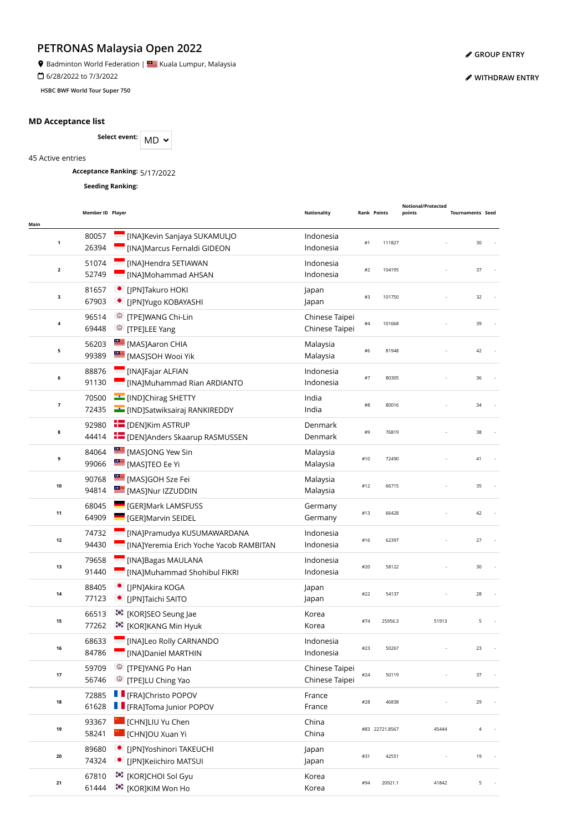**9** Badminton World Federation | **SALLA BEAD** Kuala Lumpur, Malaysia

6/28/2022 to 7/3/2022

**HSBC BWF World Tour Super 750**

## **MD Acceptance list**

Select event: MD  $\sim$ 

45 Active entries

**Acceptance Ranking:** 5/17/2022

**Seeding Ranking:**

| Main                    | Member ID Player |                                                                          | <b>Nationality</b>               |     | <b>Rank Points</b> | <b>Notional/Protected</b><br>points | <b>Tournaments Seed</b> |   |
|-------------------------|------------------|--------------------------------------------------------------------------|----------------------------------|-----|--------------------|-------------------------------------|-------------------------|---|
| 1                       | 80057<br>26394   | [INA]Kevin Sanjaya SUKAMULJO<br>[INA]Marcus Fernaldi GIDEON              | Indonesia<br>Indonesia           | #1  | 111827             |                                     | 30                      |   |
| $\overline{\mathbf{2}}$ | 51074<br>52749   | [INA]Hendra SETIAWAN<br>[INA]Mohammad AHSAN                              | Indonesia<br>Indonesia           | #2  | 104195             |                                     | 37                      |   |
| 3                       | 81657<br>67903   | [JPN]Takuro HOKI<br>· [JPN]Yugo KOBAYASHI                                | Japan<br>Japan                   | #3  | 101750             |                                     | 32                      |   |
| 4                       | 96514<br>69448   | <sup>©</sup> [TPE]WANG Chi-Lin<br><sup>©</sup> [TPE]LEE Yang             | Chinese Taipei<br>Chinese Taipei | #4  | 101668             |                                     | 39                      |   |
| 5                       | 56203<br>99389   | [MAS]Aaron CHIA<br>[MAS]SOH Wooi Yik                                     | Malaysia<br>Malaysia             | #6  | 81948              |                                     | 42                      |   |
| 6                       | 88876<br>91130   | [INA]Fajar ALFIAN<br>[INA]Muhammad Rian ARDIANTO                         | Indonesia<br>Indonesia           | #7  | 80305              |                                     | 36                      |   |
| $\overline{\mathbf{z}}$ | 70500<br>72435   | <b>EDITY</b> [IND]Chirag SHETTY<br><b>E</b> [IND]Satwiksairaj RANKIREDDY | India<br>India                   | #8  | 80016              |                                     | 34                      |   |
| 8                       | 92980<br>44414   | <b>E</b> [DEN]Kim ASTRUP<br><b>THE [DEN]Anders Skaarup RASMUSSEN</b>     | Denmark<br>Denmark               | #9  | 76819              |                                     | 38                      |   |
| 9                       | 84064<br>99066   | MASJONG Yew Sin<br><b>EXECUTED EE Yi</b>                                 | Malaysia<br>Malaysia             | #10 | 72490              |                                     | 41                      |   |
| 10                      | 90768<br>94814   | [MAS]GOH Sze Fei<br>[MAS]Nur IZZUDDIN                                    | Malaysia<br>Malaysia             | #12 | 66715              |                                     | 35                      |   |
| 11                      | 68045<br>64909   | <b>GERJMark LAMSFUSS</b><br>[GER]Marvin SEIDEL                           | Germany<br>Germany               | #13 | 66428              |                                     | 42                      |   |
| $12$                    | 74732<br>94430   | [INA]Pramudya KUSUMAWARDANA<br>[INA]Yeremia Erich Yoche Yacob RAMBITAN   | Indonesia<br>Indonesia           | #16 | 62397              |                                     | 27                      |   |
| 13                      | 79658<br>91440   | [INA]Bagas MAULANA<br>[INA]Muhammad Shohibul FIKRI                       | Indonesia<br>Indonesia           | #20 | 58122              |                                     | 30                      |   |
| 14                      | 88405<br>77123   | [JPN]Akira KOGA<br>[JPN]Taichi SAITO                                     | Japan<br>Japan                   | #22 | 54137              |                                     | 28                      |   |
| 15                      | 66513<br>77262   | :•: [KOR]SEO Seung Jae<br>:● [KOR]KANG Min Hyuk                          | Korea<br>Korea                   | #74 | 25956.3            | 51913                               |                         | 5 |
|                         | 68633<br>84786   | [INA]Leo Rolly CARNANDO<br>[INA]Daniel MARTHIN                           | Indonesia<br>Indonesia           | #23 | 50267              |                                     | 23                      |   |
| 17                      | 59709<br>56746   | [TPE]YANG Po Han<br>⊛<br><sup>©</sup> [TPE]LU Ching Yao                  | Chinese Taipei<br>Chinese Taipei | #24 | 50119              |                                     | 37                      |   |
| 18                      | 72885<br>61628   | <b>Filter</b> [FRA]Christo POPOV<br><b>F</b> [FRA]Toma Junior POPOV      | France<br>France                 | #28 | 46838              |                                     | 29                      |   |
| 19                      | 93367<br>58241   | [CHN]LIU Yu Chen<br>[CHN]OU Xuan Yi                                      | China<br>China                   |     | #83 22721.8567     | 45444                               |                         | 4 |
| 20                      | 89680<br>74324   | • [IPN]Yoshinori TAKEUCHI<br>[JPN]Keiichiro MATSUI                       | Japan<br>Japan                   | #31 | 42551              |                                     | 19                      |   |
| 21                      | 67810<br>61444   | <sup>*</sup> [KOR]CHOI Sol Gyu<br>ं•ें [KOR]KIM Won Ho                   | Korea<br>Korea                   | #94 | 20921.1            | 41842                               |                         | 5 |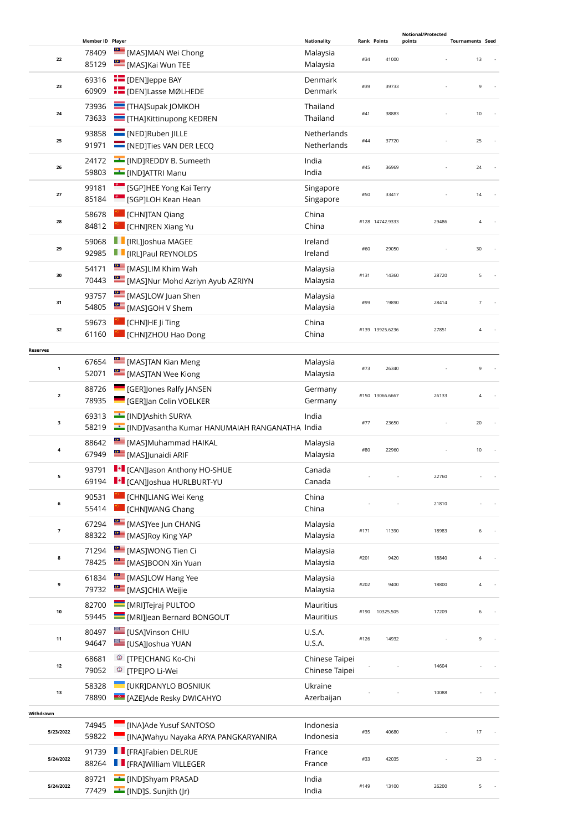|                         |                           |                                                                           |                                |      |                    | Notional/Protected |                         |  |
|-------------------------|---------------------------|---------------------------------------------------------------------------|--------------------------------|------|--------------------|--------------------|-------------------------|--|
|                         | Member ID Player<br>78409 | [MAS]MAN Wei Chong                                                        | <b>Nationality</b><br>Malaysia |      | <b>Rank Points</b> | points             | <b>Tournaments Seed</b> |  |
| 22                      | 85129                     | MASJKai Wun TEE                                                           | Malaysia                       | #34  | 41000              |                    | 13                      |  |
|                         | 69316                     | <b>EDENJeppe BAY</b>                                                      | Denmark                        |      |                    |                    |                         |  |
| 23                      | 60909                     | <b>E</b> [DEN]Lasse MØLHEDE                                               | Denmark                        | #39  | 39733              |                    | 9                       |  |
|                         | 73936                     | <b>THAJSupak JOMKOH</b>                                                   | Thailand                       |      |                    |                    |                         |  |
| 24                      | 73633                     | THA]Kittinupong KEDREN                                                    | Thailand                       | #41  | 38883              |                    | $10$                    |  |
| 25                      | 93858                     | [NED]Ruben JILLE                                                          | Netherlands                    | #44  | 37720              |                    | 25                      |  |
|                         | 91971                     | NED]Ties VAN DER LECQ                                                     | Netherlands                    |      |                    |                    |                         |  |
| 26                      | 24172                     | IND]REDDY B. Sumeeth                                                      | India                          | #45  | 36969              |                    | 24                      |  |
|                         | 59803                     | <b>E</b> [IND]ATTRI Manu                                                  | India                          |      |                    |                    |                         |  |
| 27                      | 99181<br>85184            | <sup>6</sup> [SGP]HEE Yong Kai Terry                                      | Singapore                      | #50  | 33417              |                    | 14                      |  |
|                         |                           | [SGP]LOH Kean Hean                                                        | Singapore                      |      |                    |                    |                         |  |
| 28                      | 58678<br>84812            | [CHN]TAN Qiang<br>CHNJREN Xiang Yu                                        | China<br>China                 |      | #128 14742.9333    | 29486              | 4                       |  |
|                         | 59068                     | <b>F</b> [IRL]Joshua MAGEE<br>Ш                                           | Ireland                        |      |                    |                    |                         |  |
| 29                      | 92985                     | <b>F</b> [IRL]Paul REYNOLDS                                               | Ireland                        | #60  | 29050              |                    | 30                      |  |
|                         | 54171                     | <b>EMASJLIM Khim Wah</b>                                                  | Malaysia                       |      |                    |                    |                         |  |
| 30                      | 70443                     | [MAS]Nur Mohd Azriyn Ayub AZRIYN                                          | Malaysia                       | #131 | 14360              | 28720              | 5                       |  |
|                         | 93757                     | [MAS]LOW Juan Shen                                                        | Malaysia                       |      |                    |                    |                         |  |
| 31                      | 54805                     | [MAS]GOH V Shem                                                           | Malaysia                       | #99  | 19890              | 28414              | 7                       |  |
|                         | 59673                     | [CHN]HE Ji Ting                                                           | China                          |      |                    |                    |                         |  |
| 32                      | 61160                     | [CHN]ZHOU Hao Dong                                                        | China                          |      | #139 13925.6236    | 27851              | 4                       |  |
| <b>Reserves</b>         |                           |                                                                           |                                |      |                    |                    |                         |  |
| $\mathbf 1$             | 67654                     | <b>EMASJTAN Kian Meng</b>                                                 | Malaysia                       | #73  | 26340              |                    | 9                       |  |
|                         | 52071                     | MASJTAN Wee Kiong                                                         | Malaysia                       |      |                    |                    |                         |  |
| $\overline{\mathbf{2}}$ | 88726                     | <b>GERJones Ralfy JANSEN</b>                                              | Germany                        |      | #150 13066.6667    | 26133              | 4                       |  |
|                         | 78935                     | <b>GER]Jan Colin VOELKER</b>                                              | Germany                        |      |                    |                    |                         |  |
| 3                       | 69313<br>58219            | <b>IMDJAshith SURYA</b><br>EIND]Vasantha Kumar HANUMAIAH RANGANATHA India | India                          | #77  | 23650              |                    | 20                      |  |
|                         | 88642                     | MASJMuhammad HAIKAL                                                       |                                |      |                    |                    |                         |  |
| 4                       | 67949                     | [MAS]Junaidi ARIF                                                         | Malaysia<br>Malaysia           | #80  | 22960              |                    | 10                      |  |
|                         | 93791                     | I + [CAN]Jason Anthony HO-SHUE                                            | Canada                         |      |                    |                    |                         |  |
| 5                       | 69194                     | I + [CAN]Joshua HURLBURT-YU                                               | Canada                         |      |                    | 22760              |                         |  |
|                         | 90531                     | CHN]LIANG Wei Keng                                                        | China                          |      |                    |                    |                         |  |
| 6                       | 55414                     | <b>CHNJWANG Chang</b>                                                     | China                          |      |                    | 21810              |                         |  |
|                         | 67294                     | [MAS]Yee Jun CHANG                                                        | Malaysia                       |      |                    |                    |                         |  |
| $\overline{\textbf{7}}$ | 88322                     | [MAS]Roy King YAP                                                         | Malaysia                       | #171 | 11390              | 18983              | 6                       |  |
| 8                       | 71294                     | MASJWONG Tien Ci                                                          | Malaysia                       | #201 | 9420               | 18840              | 4                       |  |
|                         | 78425                     | [MAS]BOON Xin Yuan                                                        | Malaysia                       |      |                    |                    |                         |  |
| 9                       | 61834                     | [MAS]LOW Hang Yee                                                         | Malaysia                       | #202 | 9400               | 18800              | 4                       |  |
|                         | 79732                     | MASJCHIA Weijie                                                           | Malaysia                       |      |                    |                    |                         |  |
| 10                      | 82700<br>59445            | MRIJTejraj PULTOO                                                         | Mauritius<br>Mauritius         |      | #190 10325.505     | 17209              | 6                       |  |
|                         |                           | [MRI]Jean Bernard BONGOUT                                                 |                                |      |                    |                    |                         |  |
| 11                      | 80497<br>94647            | <b>USAJVinson CHIU</b><br>EUSA]Joshua YUAN                                | U.S.A.<br>U.S.A.               | #126 | 14932              |                    | 9                       |  |
|                         | 68681                     | <sup>®</sup> [TPE]CHANG Ko-Chi                                            | Chinese Taipei                 |      |                    |                    |                         |  |
| $12$                    | 79052                     | <sup>©</sup> [TPE]PO Li-Wei                                               | Chinese Taipei                 |      |                    | 14604              |                         |  |
|                         | 58328                     | UKRJDANYLO BOSNIUK                                                        | Ukraine                        |      |                    |                    |                         |  |
| 13                      | 78890                     | <b>E [AZE]Ade Resky DWICAHYO</b>                                          | Azerbaijan                     |      |                    | 10088              |                         |  |
| Withdrawn               |                           |                                                                           |                                |      |                    |                    |                         |  |
|                         | 74945                     | [INA]Ade Yusuf SANTOSO                                                    | Indonesia                      |      |                    |                    | 17                      |  |
| 5/23/2022               | 59822                     | [INA]Wahyu Nayaka ARYA PANGKARYANIRA                                      | Indonesia                      | #35  | 40680              |                    |                         |  |
| 5/24/2022               | 91739                     | <b>F</b> [FRA]Fabien DELRUE                                               | France                         | #33  | 42035              |                    | 23                      |  |
|                         | 88264                     | FRAJWilliam VILLEGER                                                      | France                         |      |                    |                    |                         |  |
| 5/24/2022               | 89721                     | [IND]Shyam PRASAD                                                         | India                          | #149 | 13100              | 26200              | 5                       |  |
|                         | 77429                     | [IND]S. Sunjith (Jr)                                                      | India                          |      |                    |                    |                         |  |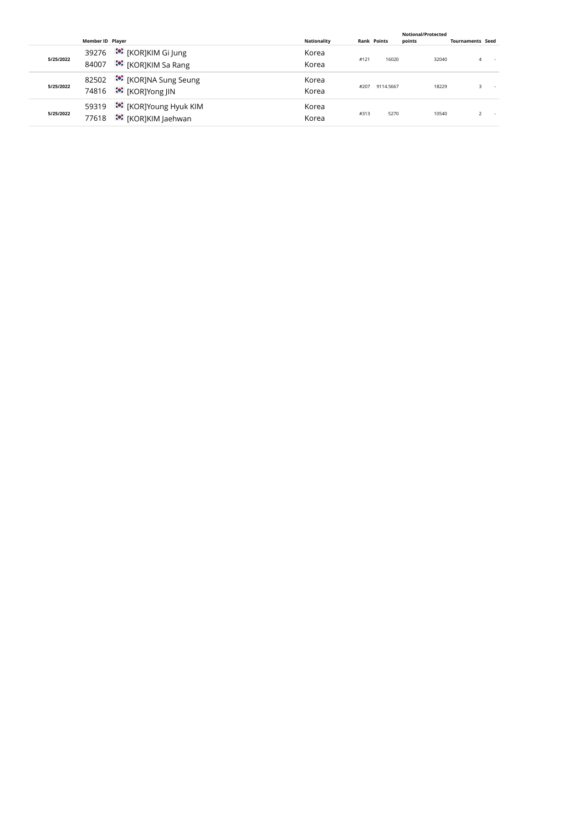|           |                |                                                                                                                                                        |      |           | <b>Notional/Protected</b> |                         |                                             |
|-----------|----------------|--------------------------------------------------------------------------------------------------------------------------------------------------------|------|-----------|---------------------------|-------------------------|---------------------------------------------|
|           |                | <b>Nationality</b>                                                                                                                                     |      |           | points                    |                         |                                             |
| 5/25/2022 | 39276<br>84007 | Korea<br>Korea                                                                                                                                         | #121 | 16020     |                           |                         |                                             |
| 5/25/2022 | 82502          | Korea<br>Korea                                                                                                                                         | #207 | 9114.5667 |                           |                         |                                             |
| 5/25/2022 | 59319<br>77618 | Korea<br>Korea                                                                                                                                         | #313 | 5270      |                           |                         |                                             |
|           |                | Member ID Plaver<br>:•: [KOR]KIM Gi Jung<br>ं•ें [KOR]KIM Sa Rang<br>ं [KOR]NA Sung Seung<br>74816 <sup>:</sup> [KOR]Yong JIN<br>ः [KOR]Young Hyuk KIM |      |           | <b>Rank Points</b>        | 32040<br>18229<br>10540 | <b>Tournaments Seed</b><br>$\sim$<br>$\sim$ |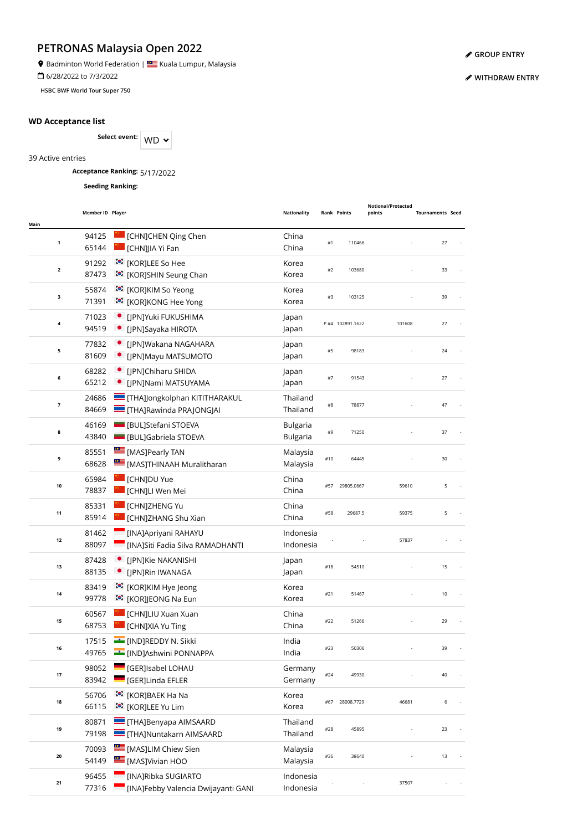**9** Badminton World Federation | **SALLA BEAD** Kuala Lumpur, Malaysia

6/28/2022 to 7/3/2022

**HSBC BWF World Tour Super 750**

## **WD Acceptance list**

Select event: WD  $\sim$ 

39 Active entries

**Acceptance Ranking:** 5/17/2022

**Seeding Ranking:**

|              | Member ID Player |                                       | <b>Nationality</b> |       | <b>Rank Points</b> | Notional/Protected<br>points | <b>Tournaments Seed</b> |  |
|--------------|------------------|---------------------------------------|--------------------|-------|--------------------|------------------------------|-------------------------|--|
| Main         |                  |                                       |                    |       |                    |                              |                         |  |
| 1            | 94125            | [CHN]CHEN Qing Chen                   | China              | #1    | 110466             |                              | 27                      |  |
|              | 65144            | I [CHN]JIA Yi Fan                     | China              |       |                    |                              |                         |  |
| $\mathbf{2}$ | 91292            | <b><sup>**</sup></b> [KOR]LEE So Hee  | Korea              | #2    | 103680             |                              | 33                      |  |
|              | 87473            | :•: [KOR]SHIN Seung Chan              | Korea              |       |                    |                              |                         |  |
| 3            | 55874            | :•: [KOR]KIM So Yeong                 | Korea              | #3    | 103125             |                              | 39                      |  |
|              | 71391            | :•: [KOR]KONG Hee Yong                | Korea              |       |                    |                              |                         |  |
| 4            | 71023            | · [JPN]Yuki FUKUSHIMA                 | Japan              |       | P #4 102891.1622   | 101608                       | 27                      |  |
|              | 94519            | [JPN]Sayaka HIROTA                    | Japan              |       |                    |                              |                         |  |
| 5            | 77832            | [JPN]Wakana NAGAHARA                  | Japan              | #5    | 98183              |                              | 24                      |  |
|              | 81609            | • [JPN]Mayu MATSUMOTO                 | Japan              |       |                    |                              |                         |  |
| 6            | 68282            | [JPN]Chiharu SHIDA                    | Japan              | #7    | 91543              |                              | 27                      |  |
|              | 65212            | [JPN]Nami MATSUYAMA                   | Japan              |       |                    |                              |                         |  |
| 7            | 24686            | <b>THA]Jongkolphan KITITHARAKUL</b>   | Thailand           | $\#8$ | 78877              |                              | 47                      |  |
|              | 84669            | <b>THA]Rawinda PRAJONGJAI</b>         | Thailand           |       |                    |                              |                         |  |
| 8            | 46169            | <b>BUL</b> ]Stefani STOEVA            | <b>Bulgaria</b>    | #9    | 71250              |                              | 37                      |  |
|              | 43840            | <b>BULJGabriela STOEVA</b>            | <b>Bulgaria</b>    |       |                    |                              |                         |  |
| 9            | 85551            | MASJPearly TAN                        | Malaysia           | #10   | 64445              |                              | 30                      |  |
|              | 68628            | [MAS]THINAAH Muralitharan             | Malaysia           |       |                    |                              |                         |  |
| 10           | 65984            | <b>CHNJDU Yue</b>                     | China              | #57   | 29805.0667         | 59610                        | 5                       |  |
|              | 78837            | <b>CHN]LI Wen Mei</b>                 | China              |       |                    |                              |                         |  |
| 11           | 85331            | <b>CHNJZHENG Yu</b>                   | China              | #58   | 29687.5            | 59375                        | 5                       |  |
|              | 85914            | [CHN]ZHANG Shu Xian                   | China              |       |                    |                              |                         |  |
| 12           | 81462            | [INA]Apriyani RAHAYU                  | Indonesia          |       |                    | 57837                        |                         |  |
|              | 88097            | [INA]Siti Fadia Silva RAMADHANTI      | Indonesia          |       |                    |                              |                         |  |
| 13           | 87428            | [JPN]Kie NAKANISHI                    | Japan              | #18   | 54510              |                              | 15                      |  |
|              | 88135            | [JPN]Rin IWANAGA                      | Japan              |       |                    |                              |                         |  |
| 14           | 83419            | :• [KOR]KIM Hye Jeong                 | Korea              | #21   | 51467              |                              | 10                      |  |
|              | 99778            | <sup>:</sup> [KOR]JEONG Na Eun        | Korea              |       |                    |                              |                         |  |
| 15           | 60567            | [CHN]LIU Xuan Xuan                    | China              | #22   | 51266              |                              | 29                      |  |
|              | 68753            | [CHN]XIA Yu Ting                      | China              |       |                    |                              |                         |  |
| 16           | 17515            | <b>EDDY N. Sikki</b>                  | India              | #23   | 50306              |                              |                         |  |
|              | 49765            | [IND]Ashwini PONNAPPA                 | India              |       |                    |                              |                         |  |
| 17           | 98052            | [GER]Isabel LOHAU                     | Germany            | #24   | 49930              |                              | 40                      |  |
|              | 83942            | [GER]Linda EFLER                      | Germany            |       |                    |                              |                         |  |
| 18           | 56706            | © [KOR]BAEK Ha Na                     | Korea              | #67   | 28008.7729         | 46681                        | 6                       |  |
|              | 66115            | <b><sup>to</sup>:</b> [KOR]LEE Yu Lim | Korea              |       |                    |                              |                         |  |
|              | 80871            | <b>THA]Benyapa AIMSAARD</b>           | Thailand           |       |                    |                              |                         |  |
| 19           | 79198            | <b>THAJNuntakarn AIMSAARD</b>         | Thailand           | #28   | 45895              |                              | 23                      |  |
|              | 70093            | <b>EXECUTE:</b> [MAS]LIM Chiew Sien   | Malaysia           |       |                    |                              |                         |  |
| 20           | 54149            | ≝<br>[MAS]Vivian HOO                  | Malaysia           | #36   | 38640              |                              | 13                      |  |
|              | 96455            | [INA]Ribka SUGIARTO                   | Indonesia          |       |                    |                              |                         |  |
| 21           | 77316            | [INA]Febby Valencia Dwijayanti GANI   | Indonesia          |       |                    | 37507                        |                         |  |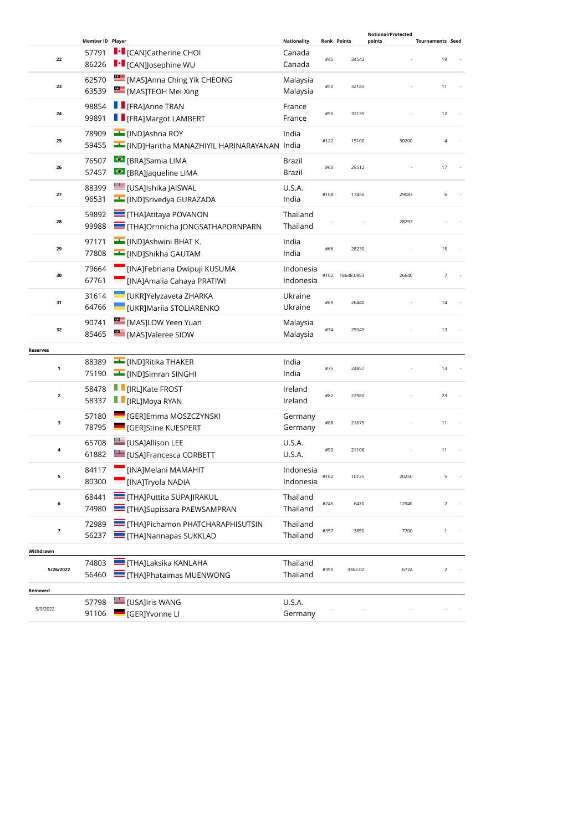|                         | Member ID Player |                                               | <b>Nationality</b>   | <b>Rank Points</b> |                 | Notional/Protected<br>points | <b>Tournaments Seed</b> |
|-------------------------|------------------|-----------------------------------------------|----------------------|--------------------|-----------------|------------------------------|-------------------------|
|                         | 57791            | <b>I</b> • [CAN]Catherine CHOI                | Canada               |                    |                 |                              |                         |
| 22                      | 86226            | <b>I</b> • [CAN]Josephine WU                  | Canada               | #45                | 34542           |                              | 19                      |
|                         | 62570            | MASJAnna Ching Yik CHEONG                     | Malaysia             |                    |                 |                              |                         |
| 23                      | 63539            | [MAS]TEOH Mei Xing                            | Malaysia             | #50                | 32185           |                              | 11                      |
|                         | 98854            | <b>F</b> [FRA]Anne TRAN                       |                      |                    |                 |                              |                         |
| 24                      | 99891            | <b>TE</b> [FRA]Margot LAMBERT                 | France<br>France     | #55                | 31135           |                              | 12                      |
|                         |                  |                                               |                      |                    |                 |                              |                         |
| 25                      | 78909            | <b>E</b> [IND]Ashna ROY                       | India                | #122               | 15100           | 30200                        | $\overline{4}$          |
|                         | 59455            | E [IND]Haritha MANAZHIYIL HARINARAYANAN India |                      |                    |                 |                              |                         |
| 26                      | 76507            | ● [BRA]Samia LIMA                             | <b>Brazil</b>        | #60                | 29512           |                              | 17                      |
|                         | 57457            | <b>S</b> [BRA]Jaqueline LIMA                  | Brazil               |                    |                 |                              |                         |
| 27                      | 88399            | <b>USA]Ishika JAISWAL</b>                     | U.S.A.               | #108               | 17450           | 29083                        | 6                       |
|                         | 96531            | <b>Example 19</b> [IND]Srivedya GURAZADA      | India                |                    |                 |                              |                         |
| 28                      | 59892            | <b>THAJAtitaya POVANON</b>                    | Thailand             |                    |                 | 28293                        |                         |
|                         | 99988            | <b>THAJOrnnicha JONGSATHAPORNPARN</b>         | Thailand             |                    |                 |                              |                         |
|                         | 97171            | IND]Ashwini BHAT K.                           | India                |                    |                 |                              |                         |
| 29                      | 77808            | <b>EL [IND]Shikha GAUTAM</b>                  | India                | #66                | 28230           |                              | 15                      |
|                         | 79664            | [INA]Febriana Dwipuji KUSUMA                  | Indonesia            |                    |                 |                              |                         |
| 30                      | 67761            | [INA]Amalia Cahaya PRATIWI                    | Indonesia            |                    | #102 18648.0953 | 26640                        | $\overline{7}$          |
|                         | 31614            | UKR]Yelyzaveta ZHARKA                         | Ukraine              |                    |                 |                              |                         |
| 31                      | 64766            | <b>UKRJMariia STOLIARENKO</b>                 | Ukraine              | #69                | 26440           |                              | 14                      |
|                         | 90741            | <b>EXECUTE:</b> [MAS]LOW Yeen Yuan            | Malaysia             |                    |                 |                              |                         |
| 32                      | 85465            | <b>EMAS</b> [MAS] Valeree SIOW                | Malaysia             | #74                | 25045           |                              | 13                      |
| <b>Reserves</b>         |                  |                                               |                      |                    |                 |                              |                         |
|                         | 88389            | <b>EXAMPLE THAKER</b>                         | India                |                    |                 |                              |                         |
| $\mathbf 1$             | 75190            | [IND]Simran SINGHI                            | India                | #75                | 24857           |                              | 13                      |
|                         | 58478            | <b>I</b> [IRL]Kate FROST                      | Ireland              |                    |                 |                              |                         |
| $\mathbf{2}$            | 58337            | <b>F</b> [IRL]Moya RYAN                       | Ireland              | #82                | 22980           |                              | 23                      |
|                         | 57180            | <b>GER]Emma MOSZCZYNSKI</b>                   | Germany              |                    |                 |                              |                         |
| з                       | 78795            | <b>GERJStine KUESPERT</b>                     | Germany              | #88                | 21675           |                              | 11                      |
|                         | 65708            | [USA]Allison LEE                              | U.S.A.               |                    |                 |                              |                         |
| 4                       | 61882            | <b>EDITION</b> [USA]Francesca CORBETT         | U.S.A.               | #90                | 21106           |                              | 11                      |
|                         | 84117            | [INA]Melani MAMAHIT                           | Indonesia            |                    |                 |                              |                         |
| 5                       | 80300            | [INA]Tryola NADIA                             | Indonesia            | #162               | 10125           | 20250                        | 5                       |
|                         | 68441            | <b>THA]Puttita SUPAJIRAKUL</b>                | Thailand             |                    |                 |                              |                         |
| 6                       | 74980            | <b>THA]Supissara PAEWSAMPRAN</b>              | Thailand             | #245               | 6470            | 12940                        | $\overline{2}$          |
|                         |                  | THA]Pichamon PHATCHARAPHISUTSIN               | Thailand             |                    |                 |                              |                         |
| $\overline{\mathbf{z}}$ | 72989<br>56237   | <b>THAJNannapas SUKKLAD</b>                   | Thailand             | #357               | 3850            | 7700                         | 1                       |
|                         |                  |                                               |                      |                    |                 |                              |                         |
| Withdrawn               | 74803            | <b>THAJLaksika KANLAHA</b>                    |                      |                    |                 |                              |                         |
| 5/26/2022               | 56460            | <b>THAJPhataimas MUENWONG</b>                 | Thailand<br>Thailand | #390               | 3362.02         | 6724                         | 2                       |
|                         |                  |                                               |                      |                    |                 |                              |                         |
| Removed                 |                  |                                               |                      |                    |                 |                              |                         |
| 5/9/2022                | 57798<br>91106   | [USA]Iris WANG<br><b>GERJYvonne LI</b>        | U.S.A.<br>Germany    |                    |                 |                              |                         |
|                         |                  |                                               |                      |                    |                 |                              |                         |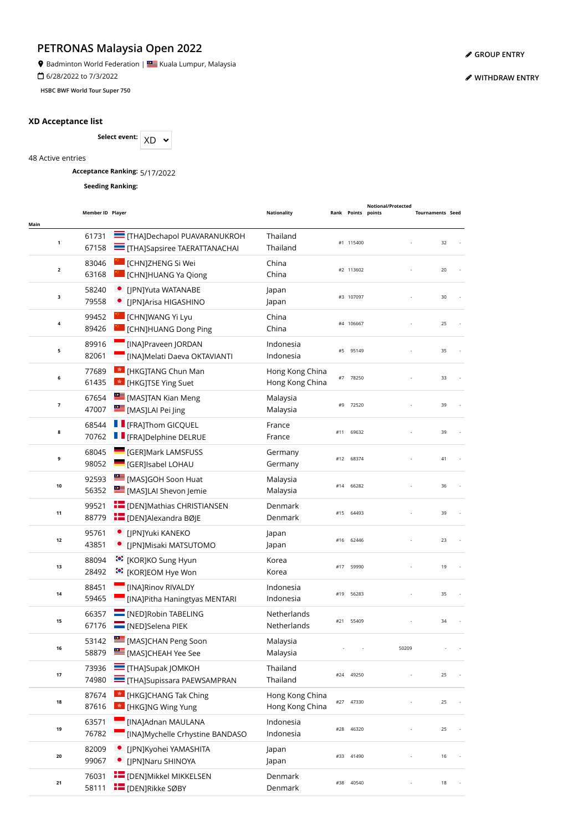**9** Badminton World Federation | **SALLA BEAD** Kuala Lumpur, Malaysia

6/28/2022 to 7/3/2022

**HSBC BWF World Tour Super 750**

## **XD Acceptance list**

Select event:  $XD \sim$ 

48 Active entries

**Acceptance Ranking:** 5/17/2022

**Seeding Ranking:**

| Main                    | Member ID Player |                                                                     | Nationality                        |     | Rank Points points | Notional/Protected | <b>Tournaments Seed</b> |  |
|-------------------------|------------------|---------------------------------------------------------------------|------------------------------------|-----|--------------------|--------------------|-------------------------|--|
| $\mathbf 1$             | 61731<br>67158   | THA]Dechapol PUAVARANUKROH<br>THA]Sapsiree TAERATTANACHAI           | Thailand<br>Thailand               |     | #1 115400          |                    | 32                      |  |
| $\overline{\mathbf{2}}$ | 83046<br>63168   | [CHN]ZHENG Si Wei<br>[CHN]HUANG Ya Qiong                            | China<br>China                     |     | #2 113602          |                    | 20                      |  |
| 3                       | 58240<br>79558   | [JPN]Yuta WATANABE<br>• [JPN]Arisa HIGASHINO                        | Japan<br>Japan                     |     | #3 107097          |                    | 30                      |  |
| 4                       | 99452<br>89426   | [CHN]WANG Yi Lyu<br><b>CHN]HUANG Dong Ping</b>                      | China<br>China                     |     | #4 106667          |                    | 25                      |  |
| 5                       | 89916<br>82061   | [INA]Praveen JORDAN<br>[INA]Melati Daeva OKTAVIANTI                 | Indonesia<br>Indonesia             | #5  | 95149              |                    | 35                      |  |
| 6                       | 77689<br>61435   | <b>*</b> [HKG]TANG Chun Man<br>* [HKG]TSE Ying Suet                 | Hong Kong China<br>Hong Kong China | #7  | 78250              |                    | 33                      |  |
| $\overline{\mathbf{z}}$ | 67654<br>47007   | [MAS]TAN Kian Meng<br>[MAS]LAI Pei Jing                             | Malaysia<br>Malaysia               | #9  | 72520              |                    | 39                      |  |
| 8                       | 68544<br>70762   | <b>F</b> [FRA]Thom GICQUEL<br><b>TE</b> [FRA]Delphine DELRUE        | France<br>France                   | #11 | 69632              |                    | 39                      |  |
| 9                       | 68045<br>98052   | <b>CERIMARK LAMSFUSS</b><br><b>CERISADE LOHAU</b>                   | Germany<br>Germany                 | #12 | 68374              |                    | 41                      |  |
| $10\,$                  | 92593<br>56352   | [MAS]GOH Soon Huat<br>[MAS]LAI Shevon Jemie                         | Malaysia<br>Malaysia               | #14 | 66282              |                    | 36                      |  |
| 11                      | 99521<br>88779   | <b>FE</b> [DEN]Mathias CHRISTIANSEN<br><b>E</b> [DEN]Alexandra BØJE | Denmark<br>Denmark                 |     | #15 64493          |                    | 39                      |  |
| 12                      | 95761<br>43851   | · [JPN]Yuki KANEKO<br>· [JPN]Misaki MATSUTOMO                       | Japan<br>Japan                     |     | #16 62446          |                    | 23                      |  |
| 13                      | 88094<br>28492   | :•: [KOR]KO Sung Hyun<br>ं•ें [KOR]EOM Hye Won                      | Korea<br>Korea                     | #17 | 59990              |                    | 19                      |  |
| 14                      | 88451<br>59465   | [INA]Rinov RIVALDY<br>[INA]Pitha Haningtyas MENTARI                 | Indonesia<br>Indonesia             | #19 | 56283              |                    | 35                      |  |
| 15                      | 66357<br>67176   | <b>NED</b> [NED]Robin TABELING<br><b>NED</b> [NED]Selena PIEK       | Netherlands<br><b>Netherlands</b>  | #21 | 55409              |                    | 34                      |  |
| 16                      | 53142<br>58879   | MASJCHAN Peng Soon<br>MASJCHEAH Yee See                             | Malaysia<br>Malaysia               |     |                    | 50209              |                         |  |
| $17\,$                  | 73936<br>74980   | $=$ [THA]Supak JOMKOH<br>THA]Supissara PAEWSAMPRAN                  | Thailand<br>Thailand               | #24 | 49250              |                    | 25                      |  |
| 18                      | 87674<br>87616   | <sup>*</sup> [HKG]CHANG Tak Ching<br><b>*</b> [HKG]NG Wing Yung     | Hong Kong China<br>Hong Kong China | #27 | 47330              |                    | 25                      |  |
| 19                      | 63571<br>76782   | [INA]Adnan MAULANA<br>[INA]Mychelle Crhystine BANDASO               | Indonesia<br>Indonesia             | #28 | 46320              |                    | 25                      |  |
| 20                      | 82009<br>99067   | [JPN]Kyohei YAMASHITA<br>[JPN]Naru SHINOYA                          | Japan<br>Japan                     | #33 | 41490              |                    | 16                      |  |
| 21                      | 76031<br>58111   | <b>E</b> [DEN]Mikkel MIKKELSEN<br><b>E</b> [DEN]Rikke SØBY          | Denmark<br>Denmark                 | #38 | 40540              |                    | 18                      |  |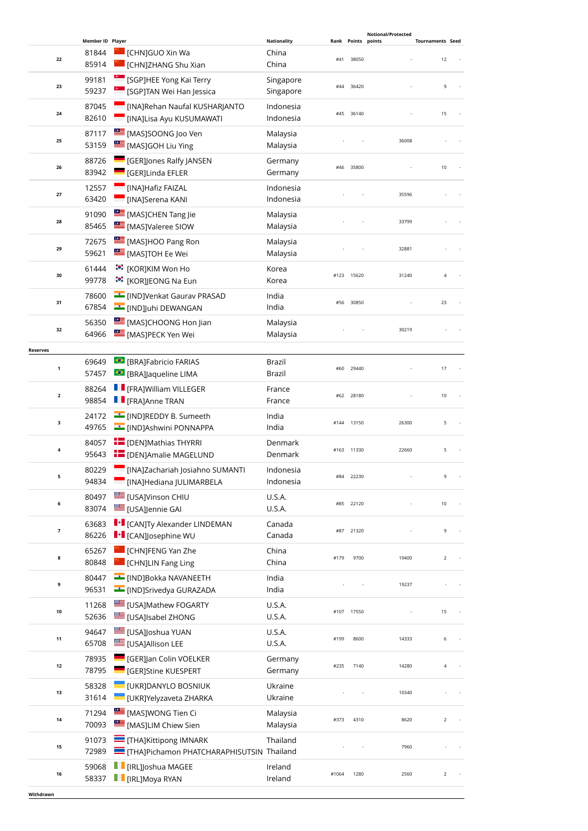|                 |                                          |                                                                                   |                                      |             |                 | <b>Notional/Protected</b> |                               |
|-----------------|------------------------------------------|-----------------------------------------------------------------------------------|--------------------------------------|-------------|-----------------|---------------------------|-------------------------------|
|                 | Member ID Player<br>81844<br>22<br>85914 | CHNJGUO Xin Wa<br><b>CHNJZHANG Shu Xian</b>                                       | <b>Nationality</b><br>China<br>China | Rank<br>#41 | Points<br>38050 | points                    | <b>Tournaments Seed</b><br>12 |
|                 | 99181<br>23<br>59237                     | <sup>e</sup> [SGP]HEE Yong Kai Terry<br><sup>e</sup> [SGP]TAN Wei Han Jessica     | Singapore<br>Singapore               | #44         | 36420           |                           | 9                             |
|                 | 87045<br>24<br>82610                     | [INA]Rehan Naufal KUSHARJANTO<br>[INA]Lisa Ayu KUSUMAWATI                         | Indonesia<br>Indonesia               |             | #45 36140       |                           | 15                            |
|                 | 87117<br>25<br>53159                     | MASJSOONG Joo Ven<br>[MAS]GOH Liu Ying                                            | Malaysia<br>Malaysia                 |             |                 | 36008                     |                               |
|                 | 88726<br>26<br>83942                     | <b>GER]Jones Ralfy JANSEN</b><br><b>GERILING EFLER</b>                            | Germany<br>Germany                   |             | #46 35800       |                           | 10                            |
|                 | 12557<br>27<br>63420                     | [INA]Hafiz FAIZAL<br><b>MAJSerena KANI</b>                                        | Indonesia<br>Indonesia               |             |                 | 35596                     |                               |
|                 | 91090<br>28<br>85465                     | [MAS]CHEN Tang Jie<br>MASJValeree SIOW                                            | Malaysia<br>Malaysia                 |             |                 | 33799                     |                               |
|                 | 72675<br>29<br>59621                     | [MAS]HOO Pang Ron<br><b>E</b> [MAS]TOH Ee Wei                                     | Malaysia<br>Malaysia                 |             |                 | 32881                     |                               |
|                 | 61444<br>30<br>99778                     | :• [KOR]KIM Won Ho<br><b>៎</b> : [KOR]JEONG Na Eun                                | Korea<br>Korea                       |             | #123 15620      | 31240                     | $\overline{4}$                |
|                 | 78600<br>31<br>67854                     | <b>Example 19 IND</b> JVenkat Gaurav PRASAD<br><b>E</b> [IND]Juhi DEWANGAN        | India<br>India                       | #56         | 30850           |                           | 23                            |
|                 | 56350<br>32<br>64966                     | <b>EMASJCHOONG Hon Jian</b><br>[MAS]PECK Yen Wei                                  | Malaysia<br>Malaysia                 |             |                 | 30219                     |                               |
| <b>Reserves</b> |                                          |                                                                                   |                                      |             |                 |                           |                               |
|                 | 69649<br>$\mathbf{1}$<br>57457           | <b>BRAJFabricio FARIAS</b><br>● [BRA]Jaqueline LIMA                               | Brazil<br>Brazil                     | #60         | 29440           |                           | 17                            |
|                 | 88264<br>$\mathbf{2}$<br>98854           | <b>F</b> [FRA]William VILLEGER<br><b>FRAJAnne TRAN</b>                            | France<br>France                     | #62         | 28180           |                           | 10                            |
|                 | 24172<br>з<br>49765                      | <b>EXAMPLE (IND)REDDY B. Sumeeth</b><br>[IND]Ashwini PONNAPPA                     | India<br>India                       |             | #144 13150      | 26300                     | 5                             |
|                 | 84057<br>4<br>95643                      | <b>E</b> [DEN]Mathias THYRRI<br><b>E</b> [DEN]Amalie MAGELUND                     | Denmark<br>Denmark                   |             | #163 11330      | 22660                     | 5                             |
|                 | 80229<br>5<br>94834                      | [INA]Zachariah Josiahno SUMANTI<br><b>Example 1</b> [INA]Hediana JULIMARBELA      | Indonesia<br>Indonesia               |             | #84 22230       |                           | 9                             |
|                 | 80497<br>6<br>83074                      | <b>USAJVinson CHIU</b><br>[USA]Jennie GAI                                         | U.S.A.<br>U.S.A.                     | #85         | 22120           |                           | 10                            |
|                 | 63683<br>7<br>86226                      | I + [CAN]Ty Alexander LINDEMAN<br><b>I</b> • [CAN]Josephine WU                    | Canada<br>Canada                     | #87         | 21320           |                           | 9                             |
|                 | 65267<br>8<br>80848                      | <b>CHNJFENG Yan Zhe</b><br>[CHN]LIN Fang Ling                                     | China<br>China                       | #179        | 9700            | 19400                     | $\overline{2}$                |
|                 | 80447<br>9<br>96531                      | <b>Example 19 INDJBokka NAVANEETH</b><br><b>Example 15</b> [IND]Srivedya GURAZADA | India<br>India                       |             |                 | 19237                     |                               |
|                 | 11268<br>$10\,$<br>52636                 | <b>USAJMathew FOGARTY</b><br><b>EDITION</b> [USA]Isabel ZHONG                     | <b>U.S.A.</b><br>U.S.A.              |             | #107 17550      |                           | 15                            |
|                 | 94647<br>11<br>65708                     | <b>USA]Joshua YUAN</b><br>[USA]Allison LEE                                        | U.S.A.<br><b>U.S.A.</b>              | #199        | 8600            | 14333                     | 6                             |
|                 | 78935<br>12<br>78795                     | [GER]Jan Colin VOELKER<br><b>GERJStine KUESPERT</b>                               | Germany<br>Germany                   | #235        | 7140            | 14280                     | $\overline{4}$                |
|                 | 58328<br>13<br>31614                     | <b>UKRJDANYLO BOSNIUK</b><br>[UKR]Yelyzaveta ZHARKA                               | Ukraine<br>Ukraine                   |             |                 | 10340                     |                               |
|                 | 71294<br>14<br>70093                     | <b>EXECUTE:</b> [MAS]WONG Tien Ci<br>MASJLIM Chiew Sien                           | Malaysia<br>Malaysia                 | #373        | 4310            | 8620                      | $\overline{2}$                |
|                 | 91073<br>15<br>72989                     | THA]Kittipong IMNARK<br>THA]Pichamon PHATCHARAPHISUTSIN Thailand                  | Thailand                             |             |                 | 7960                      |                               |
|                 | 59068<br>16<br>58337                     | [IRL]Joshua MAGEE<br>$\blacksquare$ [IRL]Moya RYAN                                | Ireland<br>Ireland                   | #1064       | 1280            | 2560                      | $\mathbf 2$                   |
| Withdrawn       |                                          |                                                                                   |                                      |             |                 |                           |                               |